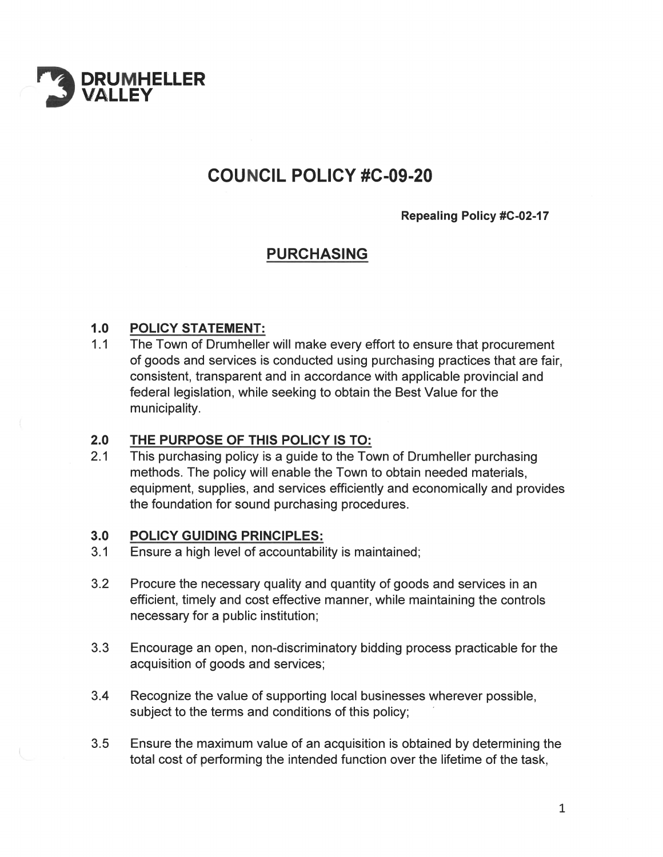

# **COUNCIL POLICY #C-09-20**

**Repealing Policy #C-02-17** 

## **PURCHASING**

### $1.0$ **POLICY STATEMENT:**

 $1.1$ The Town of Drumheller will make every effort to ensure that procurement of goods and services is conducted using purchasing practices that are fair, consistent, transparent and in accordance with applicable provincial and federal legislation, while seeking to obtain the Best Value for the municipality.

### $2.0$ THE PURPOSE OF THIS POLICY IS TO:

 $2.1$ This purchasing policy is a guide to the Town of Drumheller purchasing methods. The policy will enable the Town to obtain needed materials. equipment, supplies, and services efficiently and economically and provides the foundation for sound purchasing procedures.

#### $3.0$ **POLICY GUIDING PRINCIPLES:**

- $3.1$ Ensure a high level of accountability is maintained;
- $3.2$ Procure the necessary quality and quantity of goods and services in an efficient, timely and cost effective manner, while maintaining the controls necessary for a public institution;
- $3.3$ Encourage an open, non-discriminatory bidding process practicable for the acquisition of goods and services;
- $3.4$ Recognize the value of supporting local businesses wherever possible, subject to the terms and conditions of this policy;
- $3.5$ Ensure the maximum value of an acquisition is obtained by determining the total cost of performing the intended function over the lifetime of the task,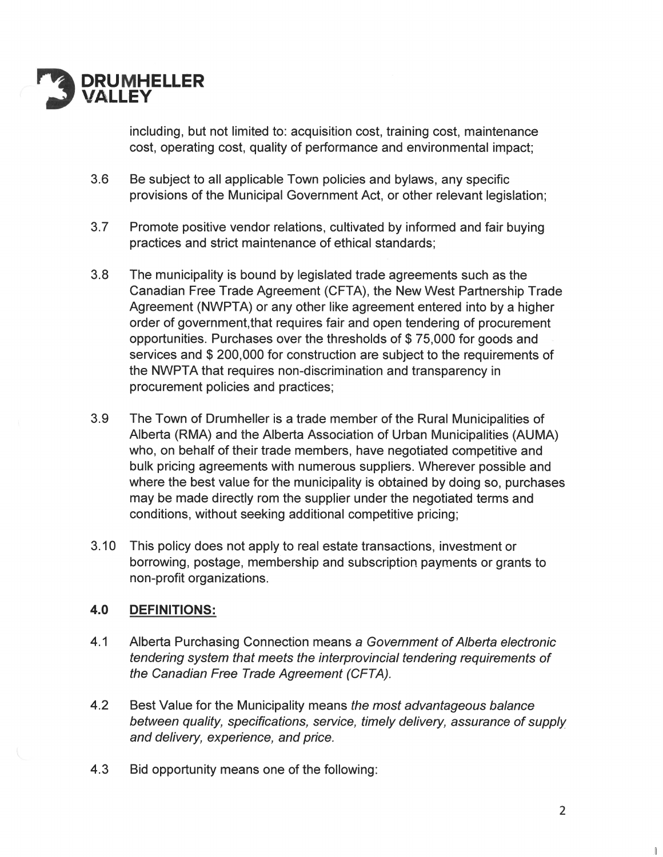

including, but not limited to: acquisition cost, training cost, maintenance cost, operating cost, quality of performance and environmental impact;

- $3.6$ Be subject to all applicable Town policies and bylaws, any specific provisions of the Municipal Government Act, or other relevant legislation;
- $3.7$ Promote positive vendor relations, cultivated by informed and fair buying practices and strict maintenance of ethical standards;
- $3.8$ The municipality is bound by legislated trade agreements such as the Canadian Free Trade Agreement (CFTA), the New West Partnership Trade Agreement (NWPTA) or any other like agreement entered into by a higher order of government, that requires fair and open tendering of procurement opportunities. Purchases over the thresholds of \$75,000 for goods and services and \$200,000 for construction are subject to the requirements of the NWPTA that requires non-discrimination and transparency in procurement policies and practices;
- 3.9 The Town of Drumheller is a trade member of the Rural Municipalities of Alberta (RMA) and the Alberta Association of Urban Municipalities (AUMA) who, on behalf of their trade members, have negotiated competitive and bulk pricing agreements with numerous suppliers. Wherever possible and where the best value for the municipality is obtained by doing so, purchases may be made directly rom the supplier under the negotiated terms and conditions, without seeking additional competitive pricing;
- $3.10$ This policy does not apply to real estate transactions, investment or borrowing, postage, membership and subscription payments or grants to non-profit organizations.

### 4.0 **DEFINITIONS:**

- $4.1$ Alberta Purchasing Connection means a Government of Alberta electronic tendering system that meets the interprovincial tendering requirements of the Canadian Free Trade Agreement (CFTA).
- $4.2$ Best Value for the Municipality means the most advantageous balance between quality, specifications, service, timely delivery, assurance of supply and delivery, experience, and price.
- $4.3$ Bid opportunity means one of the following: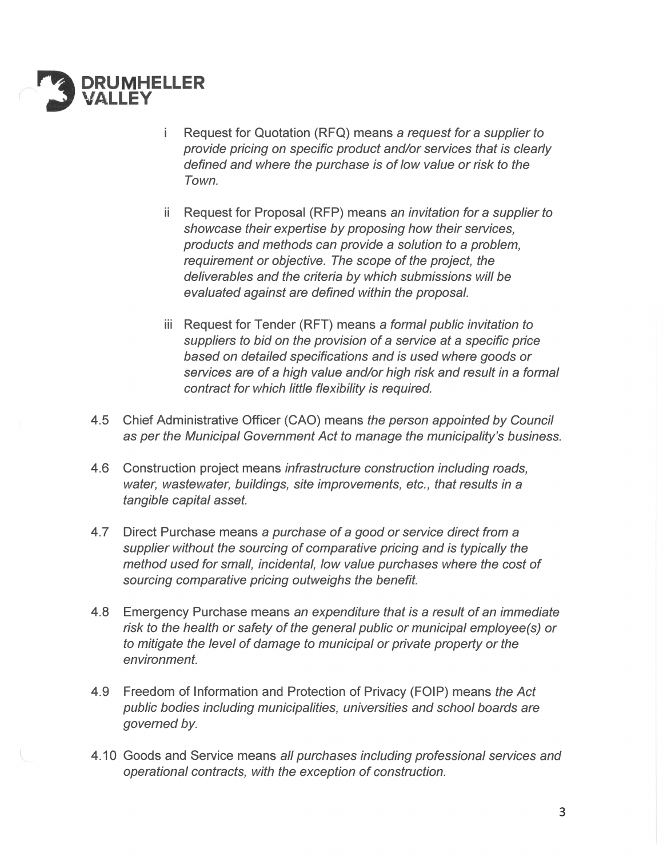

- Request for Quotation (RFQ) means a request for a supplier to i. provide pricing on specific product and/or services that is clearly defined and where the purchase is of low value or risk to the Town.
- ii Request for Proposal (RFP) means an invitation for a supplier to showcase their expertise by proposing how their services, products and methods can provide a solution to a problem. requirement or objective. The scope of the project, the deliverables and the criteria by which submissions will be evaluated against are defined within the proposal.
- iii Request for Tender (RFT) means a formal public invitation to suppliers to bid on the provision of a service at a specific price based on detailed specifications and is used where goods or services are of a high value and/or high risk and result in a formal contract for which little flexibility is required.
- 4.5 Chief Administrative Officer (CAO) means the person appointed by Council as per the Municipal Government Act to manage the municipality's business.
- 4.6 Construction project means *infrastructure construction including roads*, water, wastewater, buildings, site improvements, etc., that results in a tangible capital asset.
- $4.7$ Direct Purchase means a purchase of a good or service direct from a supplier without the sourcing of comparative pricing and is typically the method used for small, incidental, low value purchases where the cost of sourcing comparative pricing outweighs the benefit.
- 4.8 Emergency Purchase means an expenditure that is a result of an immediate risk to the health or safety of the general public or municipal employee(s) or to mitigate the level of damage to municipal or private property or the environment.
- Freedom of Information and Protection of Privacy (FOIP) means the Act 4.9 public bodies including municipalities, universities and school boards are governed by.
- 4.10 Goods and Service means all purchases including professional services and operational contracts, with the exception of construction.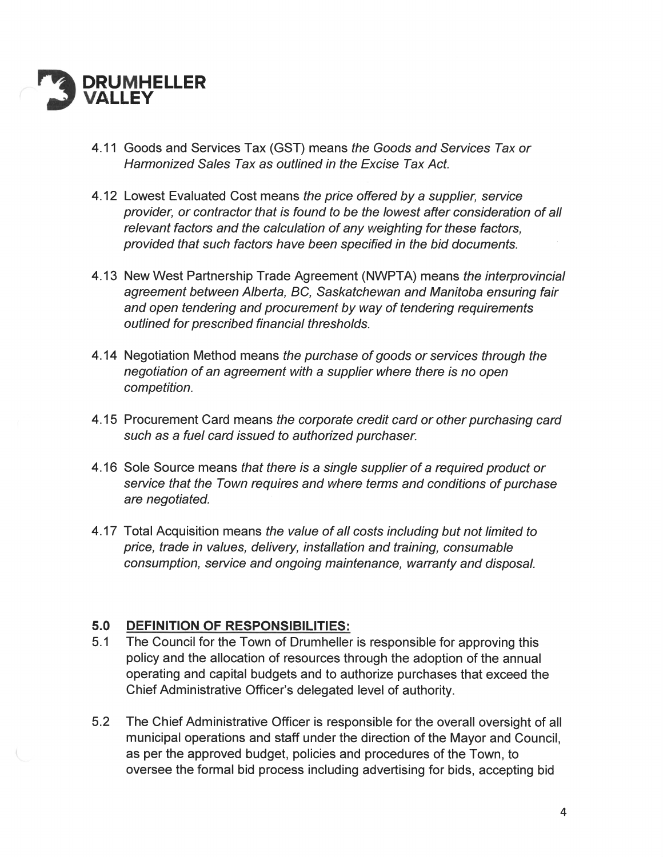

- 4.11 Goods and Services Tax (GST) means the Goods and Services Tax or Harmonized Sales Tax as outlined in the Excise Tax Act
- 4.12 Lowest Evaluated Cost means the price offered by a supplier, service provider, or contractor that is found to be the lowest after consideration of all relevant factors and the calculation of any weighting for these factors, provided that such factors have been specified in the bid documents.
- 4.13 New West Partnership Trade Agreement (NWPTA) means the interprovincial agreement between Alberta, BC, Saskatchewan and Manitoba ensuring fair and open tendering and procurement by way of tendering requirements outlined for prescribed financial thresholds.
- 4.14 Negotiation Method means the purchase of goods or services through the negotiation of an agreement with a supplier where there is no open competition.
- 4.15 Procurement Card means the corporate credit card or other purchasing card such as a fuel card issued to authorized purchaser.
- 4.16 Sole Source means that there is a single supplier of a required product or service that the Town requires and where terms and conditions of purchase are negotiated.
- 4.17 Total Acquisition means the value of all costs including but not limited to price, trade in values, delivery, installation and training, consumable consumption, service and ongoing maintenance, warranty and disposal.

### $5.0$ **DEFINITION OF RESPONSIBILITIES:**

- $5.1$ The Council for the Town of Drumheller is responsible for approving this policy and the allocation of resources through the adoption of the annual operating and capital budgets and to authorize purchases that exceed the Chief Administrative Officer's delegated level of authority.
- $5.2$ The Chief Administrative Officer is responsible for the overall oversight of all municipal operations and staff under the direction of the Mayor and Council, as per the approved budget, policies and procedures of the Town, to oversee the formal bid process including advertising for bids, accepting bid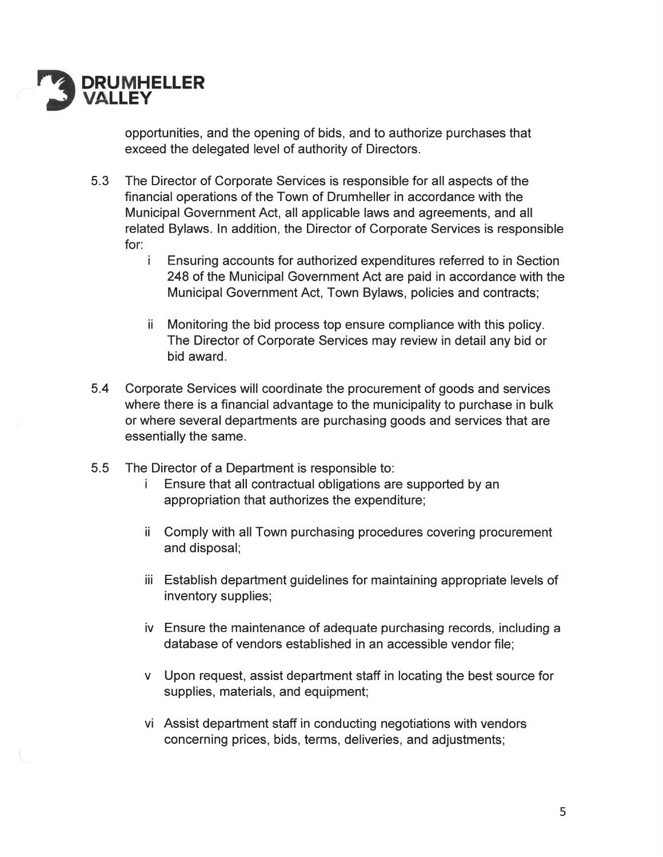

opportunities, and the opening of bids, and to authorize purchases that exceed the delegated level of authority of Directors.

- $5.3$ The Director of Corporate Services is responsible for all aspects of the financial operations of the Town of Drumheller in accordance with the Municipal Government Act, all applicable laws and agreements, and all related Bylaws. In addition, the Director of Corporate Services is responsible for:
	- j. Ensuring accounts for authorized expenditures referred to in Section 248 of the Municipal Government Act are paid in accordance with the Municipal Government Act, Town Bylaws, policies and contracts;
	- Monitoring the bid process top ensure compliance with this policy. ii. The Director of Corporate Services may review in detail any bid or bid award.
- $5.4$ Corporate Services will coordinate the procurement of goods and services where there is a financial advantage to the municipality to purchase in bulk or where several departments are purchasing goods and services that are essentially the same.
- $5.5$ The Director of a Department is responsible to:
	- i. Ensure that all contractual obligations are supported by an appropriation that authorizes the expenditure;
	- ii Comply with all Town purchasing procedures covering procurement and disposal;
	- iii Establish department guidelines for maintaining appropriate levels of inventory supplies;
	- iv Ensure the maintenance of adequate purchasing records, including a database of vendors established in an accessible vendor file;
	- v Upon request, assist department staff in locating the best source for supplies, materials, and equipment;
	- vi Assist department staff in conducting negotiations with vendors concerning prices, bids, terms, deliveries, and adjustments;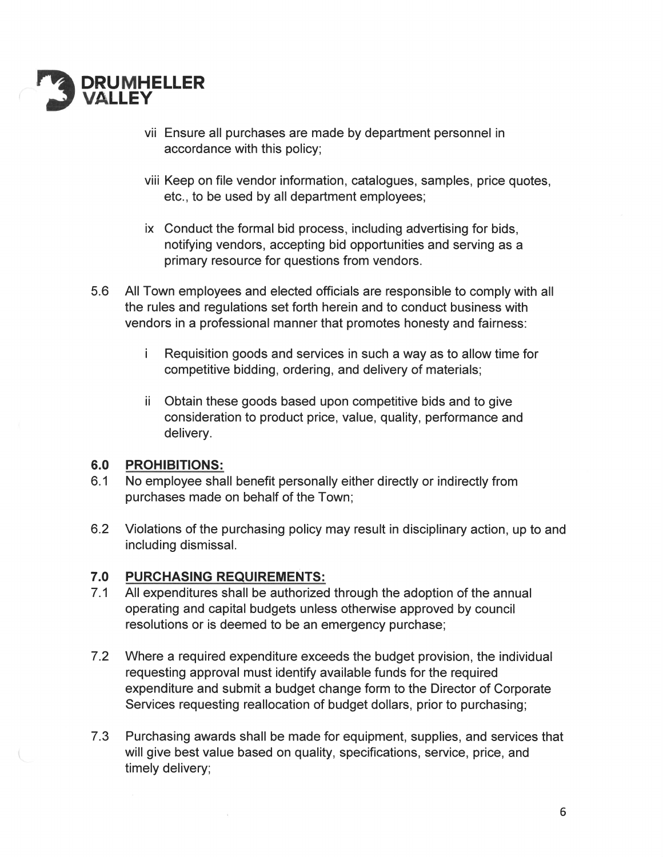

- vii Ensure all purchases are made by department personnel in accordance with this policy;
- viii Keep on file vendor information, catalogues, samples, price quotes, etc., to be used by all department employees;
- ix Conduct the formal bid process. including advertising for bids, notifying vendors, accepting bid opportunities and serving as a primary resource for questions from vendors.
- 5.6 AllTown employees and elected officials are responsible to comply with all the rules and regulations set forth herein and to conduct business with vendors in a professional manner that promotes honesty and fairness:
	- i Requisition goods and services in such a way as to allow time for competitive bidding, ordering, and delivery of materials;
	- ii Obtain these goods based upon competitive bids and to give consideration to product price, value, quality, performance and delivery.

### 6.0 PROHIBITIONS:

- 6.1 No employee shall benefit personally either directly or indirectly from purchases made on behalf of the Town;
- 6.2 Violations of the purchasing policy may result in disciplinary action, up to and including dismissal.

## 7.0 PURCHASING REQUIREMENTS:

- 7.1 All expenditures shall be authorized through the adoption of the annual operating and capital budgets unless otherwise approved by council resolutions or is deemed to be an emergency purchase;
- 7.2 Where a required expenditure exceeds the budget provision, the individual requesting approval must identify available funds for the required expenditure and submit a budget change form to the Director of Corporate Services requesting reallocation of budget dollars, prior to purchasing;
- 7.3 Purchasing awards shall be made for equipment, supplies, and services that will give best value based on quality, specifications, service, price, and timely delivery;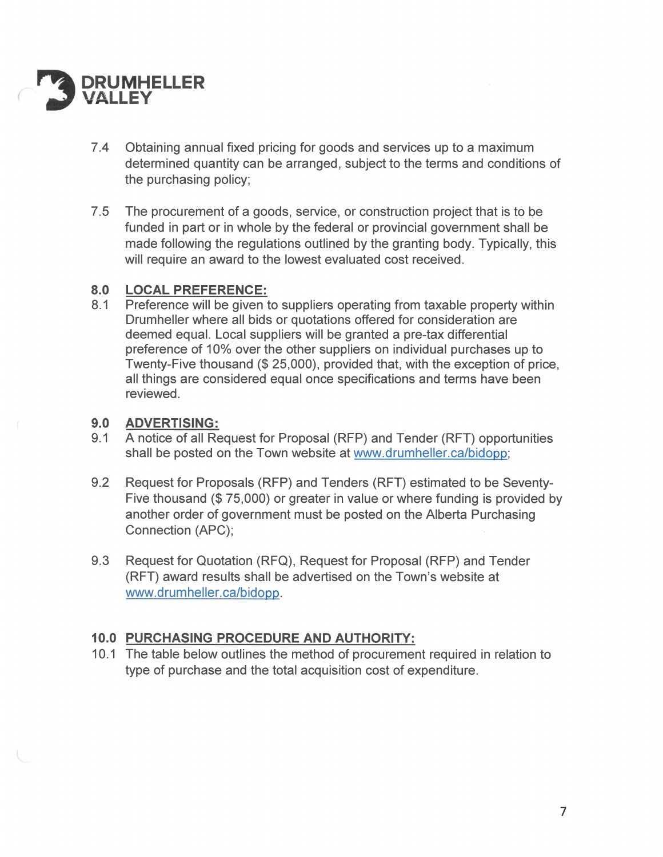

- 7.4 Obtaining annual fixed pricing for goods and services up to a maximum determined quantity can be arranged, subject to the terms and conditions of the purchasing policy;
- $7.5$ The procurement of a goods, service, or construction project that is to be funded in part or in whole by the federal or provincial government shall be made following the regulations outlined by the granting body. Typically, this will require an award to the lowest evaluated cost received.

### 8.0 **LOCAL PREFERENCE:**

Preference will be given to suppliers operating from taxable property within  $8.1$ Drumheller where all bids or quotations offered for consideration are deemed equal. Local suppliers will be granted a pre-tax differential preference of 10% over the other suppliers on individual purchases up to Twenty-Five thousand (\$ 25,000), provided that, with the exception of price, all things are considered equal once specifications and terms have been reviewed.

### $9.0$ **ADVERTISING:**

- $9.1$ A notice of all Request for Proposal (RFP) and Tender (RFT) opportunities shall be posted on the Town website at www.drumheller.ca/bidopp;
- $9.2$ Request for Proposals (RFP) and Tenders (RFT) estimated to be Seventy-Five thousand (\$75,000) or greater in value or where funding is provided by another order of government must be posted on the Alberta Purchasing Connection (APC);
- 9.3 Request for Quotation (RFQ), Request for Proposal (RFP) and Tender (RFT) award results shall be advertised on the Town's website at www.drumheller.ca/bidopp.

## 10.0 PURCHASING PROCEDURE AND AUTHORITY:

10.1 The table below outlines the method of procurement required in relation to type of purchase and the total acquisition cost of expenditure.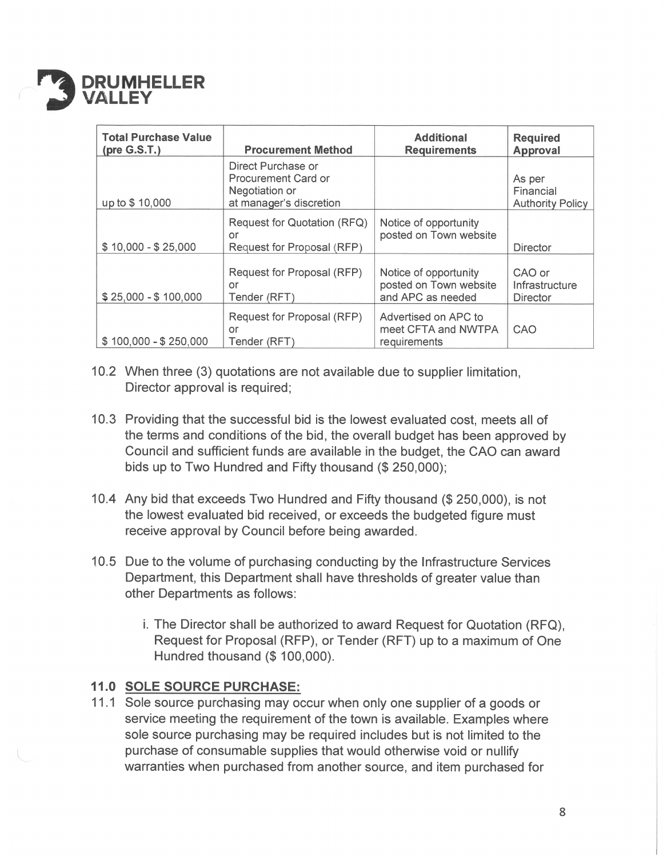

| <b>Total Purchase Value</b> | <b>Procurement Method</b>                                                              | <b>Additional</b><br><b>Requirements</b>                             | <b>Required</b><br><b>Approval</b>             |
|-----------------------------|----------------------------------------------------------------------------------------|----------------------------------------------------------------------|------------------------------------------------|
| up to \$10,000              | Direct Purchase or<br>Procurement Card or<br>Negotiation or<br>at manager's discretion |                                                                      | As per<br>Financial<br><b>Authority Policy</b> |
| $$10,000 - $25,000$         | Request for Quotation (RFQ)<br>or<br>Request for Proposal (RFP)                        | Notice of opportunity<br>posted on Town website                      | <b>Director</b>                                |
| $$25,000 - $100,000$        | Request for Proposal (RFP)<br>or<br>Tender (RFT)                                       | Notice of opportunity<br>posted on Town website<br>and APC as needed | CAO or<br>Infrastructure<br><b>Director</b>    |
| $$100,000 - $250,000$       | Request for Proposal (RFP)<br>or<br>Tender (RFT)                                       | Advertised on APC to<br>meet CFTA and NWTPA<br>requirements          | CAO                                            |

- 10.2 When three (3) quotations are not available due to supplier limitation, Director approval is required;
- 10.3 Providing that the successful bid is the lowest evaluated cost, meets all of the terms and conditions of the bid, the overall budget has been approved by Council and sufficient funds are available in the budget, the CA0 can award bids up to Two Hundred and Fifty thousand (\$ 250,000);
- 10.4 Any bid that exceeds Two Hundred and Fifty thousand (\$ 250,000), is not the lowest evaluated bid received, or exceeds the budgeted figure must receive approval by Council before being awarded.
- 10.5 Due to the volume of purchasing conducting by the Infrastructure Services Department, this Department shall have thresholds of greater value than other Departments as follows:
	- i. The Director shall be authorized to award Request for Quotation (RFQ), Request for Proposal (RFP), or Tender (RFT) up to a maximum of One Hundred thousand (\$ 100,000).

## 11.0 SOLE SOURCE PURCHASE:

11.1 Sole source purchasing may occur when only one supplier of a goods or service meeting the requirement of the town is available. Examples where sole source purchasing may be required includes but is not limited to the purchase of consumable supplies that would otherwise void or nullify warranties when purchased from another source, and item purchased for